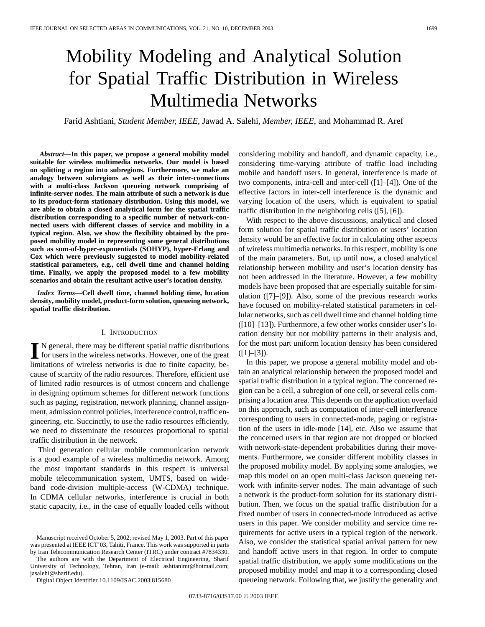# Mobility Modeling and Analytical Solution for Spatial Traffic Distribution in Wireless Multimedia Networks

Farid Ashtiani*, Student Member, IEEE*, Jawad A. Salehi*, Member, IEEE*, and Mohammad R. Aref

*Abstract—***In this paper, we propose a general mobility model suitable for wireless multimedia networks. Our model is based on splitting a region into subregions. Furthermore, we make an analogy between subregions as well as their inter-connections with a multi-class Jackson queueing network comprising of infinite-server nodes. The main attribute of such a network is due to its product-form stationary distribution. Using this model, we are able to obtain a closed analytical form for the spatial traffic distribution corresponding to a specific number of network-connected users with different classes of service and mobility in a typical region. Also, we show the flexibility obtained by the proposed mobility model in representing some general distributions such as sum-of-hyper-exponentials (SOHYP), hyper-Erlang and Cox which were previously suggested to model mobility-related statistical parameters, e.g., cell dwell time and channel holding time. Finally, we apply the proposed model to a few mobility scenarios and obtain the resultant active user's location density.**

*Index Terms—***Cell dwell time, channel holding time, location density, mobility model, product-form solution, queueing network, spatial traffic distribution.**

#### I. INTRODUCTION

I<sup>I</sup> N general, there may be different spatial traffic distributions<br>for users in the wireless networks. However, one of the great limitations of wireless networks is due to finite capacity, because of scarcity of the radio resources. Therefore, efficient use of limited radio resources is of utmost concern and challenge in designing optimum schemes for different network functions such as paging, registration, network planning, channel assignment, admission control policies, interference control, traffic engineering, etc. Succinctly, to use the radio resources efficiently, we need to disseminate the resources proportional to spatial traffic distribution in the network.

Third generation cellular mobile communication network is a good example of a wireless multimedia network. Among the most important standards in this respect is universal mobile telecommunication system, UMTS, based on wideband code-division multiple-access (W-CDMA) technique. In CDMA cellular networks, interference is crucial in both static capacity, i.e., in the case of equally loaded cells without

The authors are with the Department of Electrical Engineering, Sharif University of Technology, Tehran, Iran (e-mail: ashtianimt@hotmail.com; jasalehi@sharif.edu).

Digital Object Identifier 10.1109/JSAC.2003.815680

considering mobility and handoff, and dynamic capacity, i.e., considering time-varying attribute of traffic load including mobile and handoff users. In general, interference is made of two components, intra-cell and inter-cell ([1]–[4]). One of the effective factors in inter-cell interference is the dynamic and varying location of the users, which is equivalent to spatial traffic distribution in the neighboring cells ([5], [6]).

With respect to the above discussions, analytical and closed form solution for spatial traffic distribution or users' location density would be an effective factor in calculating other aspects of wireless multimedia networks. In this respect, mobility is one of the main parameters. But, up until now, a closed analytical relationship between mobility and user's location density has not been addressed in the literature. However, a few mobility models have been proposed that are especially suitable for simulation ([7]–[9]). Also, some of the previous research works have focused on mobility-related statistical parameters in cellular networks, such as cell dwell time and channel holding time ([10]–[13]). Furthermore, a few other works consider user's location density but not mobility patterns in their analysis and, for the most part uniform location density has been considered  $([1]–[3])$ .

In this paper, we propose a general mobility model and obtain an analytical relationship between the proposed model and spatial traffic distribution in a typical region. The concerned region can be a cell, a subregion of one cell, or several cells comprising a location area. This depends on the application overlaid on this approach, such as computation of inter-cell interference corresponding to users in connected-mode, paging or registration of the users in idle-mode [14], etc. Also we assume that the concerned users in that region are not dropped or blocked with network-state-dependent probabilities during their movements. Furthermore, we consider different mobility classes in the proposed mobility model. By applying some analogies, we map this model on an open multi-class Jackson queueing network with infinite-server nodes. The main advantage of such a network is the product-form solution for its stationary distribution. Then, we focus on the spatial traffic distribution for a fixed number of users in connected-mode introduced as active users in this paper. We consider mobility and service time requirements for active users in a typical region of the network. Also, we consider the statistical spatial arrival pattern for new and handoff active users in that region. In order to compute spatial traffic distribution, we apply some modifications on the proposed mobility model and map it to a corresponding closed queueing network. Following that, we justify the generality and

Manuscript received October 5, 2002; revised May 1, 2003. Part of this paper was presented at IEEE ICT'03, Tahiti, France. This work was supported in parts by Iran Telecommunication Research Center (ITRC) under contract #7834330.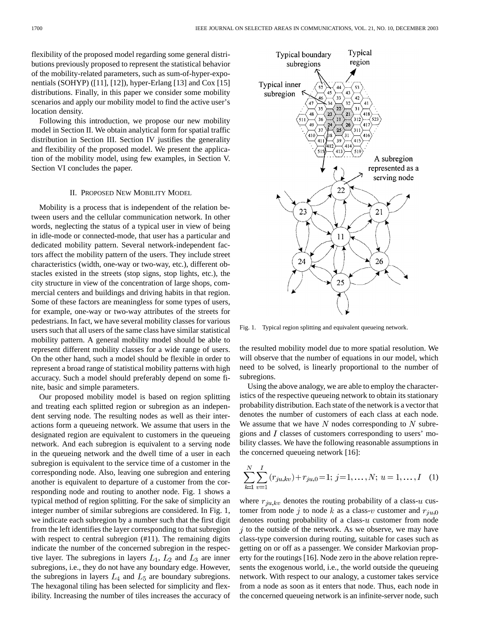flexibility of the proposed model regarding some general distributions previously proposed to represent the statistical behavior of the mobility-related parameters, such as sum-of-hyper-exponentials (SOHYP) ([11], [12]), hyper-Erlang [13] and Cox [15] distributions. Finally, in this paper we consider some mobility scenarios and apply our mobility model to find the active user's location density.

Following this introduction, we propose our new mobility model in Section II. We obtain analytical form for spatial traffic distribution in Section III. Section IV justifies the generality and flexibility of the proposed model. We present the application of the mobility model, using few examples, in Section V. Section VI concludes the paper.

## II. PROPOSED NEW MOBILITY MODEL

Mobility is a process that is independent of the relation between users and the cellular communication network. In other words, neglecting the status of a typical user in view of being in idle-mode or connected-mode, that user has a particular and dedicated mobility pattern. Several network-independent factors affect the mobility pattern of the users. They include street characteristics (width, one-way or two-way, etc.), different obstacles existed in the streets (stop signs, stop lights, etc.), the city structure in view of the concentration of large shops, commercial centers and buildings and driving habits in that region. Some of these factors are meaningless for some types of users, for example, one-way or two-way attributes of the streets for pedestrians. In fact, we have several mobility classes for various users such that all users of the same class have similar statistical mobility pattern. A general mobility model should be able to represent different mobility classes for a wide range of users. On the other hand, such a model should be flexible in order to represent a broad range of statistical mobility patterns with high accuracy. Such a model should preferably depend on some finite, basic and simple parameters.

Our proposed mobility model is based on region splitting and treating each splitted region or subregion as an independent serving node. The resulting nodes as well as their interactions form a queueing network. We assume that users in the designated region are equivalent to customers in the queueing network. And each subregion is equivalent to a serving node in the queueing network and the dwell time of a user in each subregion is equivalent to the service time of a customer in the corresponding node. Also, leaving one subregion and entering another is equivalent to departure of a customer from the corresponding node and routing to another node. Fig. 1 shows a typical method of region splitting. For the sake of simplicity an integer number of similar subregions are considered. In Fig. 1, we indicate each subregion by a number such that the first digit from the left identifies the layer corresponding to that subregion with respect to central subregion (#11). The remaining digits indicate the number of the concerned subregion in the respective layer. The subregions in layers  $L_1$ ,  $L_2$  and  $L_3$  are inner subregions, i.e., they do not have any boundary edge. However, the subregions in layers  $L_4$  and  $L_5$  are boundary subregions. The hexagonal tiling has been selected for simplicity and flexibility. Increasing the number of tiles increases the accuracy of



Fig. 1. Typical region splitting and equivalent queueing network.

the resulted mobility model due to more spatial resolution. We will observe that the number of equations in our model, which need to be solved, is linearly proportional to the number of subregions.

Using the above analogy, we are able to employ the characteristics of the respective queueing network to obtain its stationary probability distribution. Each state of the network is a vector that denotes the number of customers of each class at each node. We assume that we have N nodes corresponding to N subregions and  $I$  classes of customers corresponding to users' mobility classes. We have the following reasonable assumptions in the concerned queueing network [16]:

$$
\sum_{k=1}^{N} \sum_{v=1}^{I} (r_{ju,kv}) + r_{ju,0} = 1; j = 1, ..., N; u = 1, ..., I \quad (1)
$$

where  $r_{ju,kv}$  denotes the routing probability of a class-u customer from node j to node k as a class-v customer and  $r_{iu,0}$ denotes routing probability of a class- $u$  customer from node  $j$  to the outside of the network. As we observe, we may have class-type conversion during routing, suitable for cases such as getting on or off as a passenger. We consider Markovian property for the routings [16]. Node zero in the above relation represents the exogenous world, i.e., the world outside the queueing network. With respect to our analogy, a customer takes service from a node as soon as it enters that node. Thus, each node in the concerned queueing network is an infinite-server node, such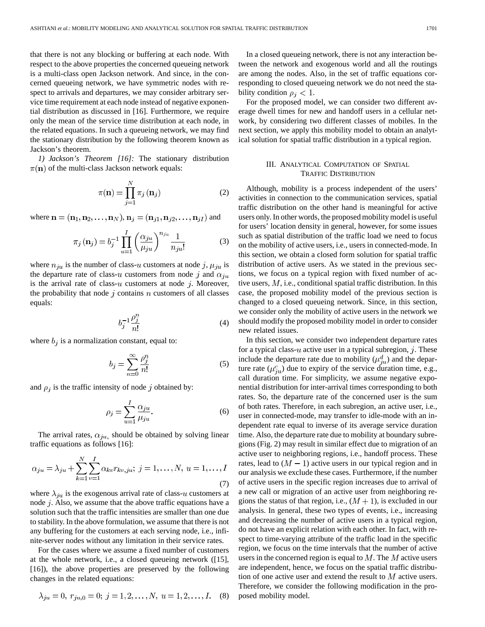that there is not any blocking or buffering at each node. With respect to the above properties the concerned queueing network is a multi-class open Jackson network. And since, in the concerned queueing network, we have symmetric nodes with respect to arrivals and departures, we may consider arbitrary service time requirement at each node instead of negative exponential distribution as discussed in [16]. Furthermore, we require only the mean of the service time distribution at each node, in the related equations. In such a queueing network, we may find the stationary distribution by the following theorem known as Jackson's theorem.

*1) Jackson's Theorem [16]:* The stationary distribution  $\pi(\mathbf{n})$  of the multi-class Jackson network equals:

$$
\pi(\mathbf{n}) = \prod_{j=1}^{N} \pi_j(\mathbf{n}_j)
$$
 (2)

where  $\mathbf{n} = (\mathbf{n}_1, \mathbf{n}_2, \dots, \mathbf{n}_N), \mathbf{n}_j = (\mathbf{n}_{j1}, \mathbf{n}_{j2}, \dots, \mathbf{n}_{jI})$  and

$$
\pi_j(\mathbf{n}_j) = b_j^{-1} \prod_{u=1}^I \left(\frac{\alpha_{ju}}{\mu_{ju}}\right)^{n_{ju}} \frac{1}{n_{ju}!}
$$
 (3)

where  $n_{ju}$  is the number of class-*u* customers at node j,  $\mu_{ju}$  is the departure rate of class- $u$  customers from node  $j$  and  $\alpha_{ju}$ is the arrival rate of class- $u$  customers at node  $j$ . Moreover, the probability that node  $j$  contains  $n$  customers of all classes equals:

$$
b_j^{-1} \frac{\rho_j^n}{n!} \tag{4}
$$

where  $b_j$  is a normalization constant, equal to:

$$
b_j = \sum_{n=0}^{\infty} \frac{\rho_j^n}{n!} \tag{5}
$$

and  $\rho_j$  is the traffic intensity of node j obtained by:

$$
\rho_j = \sum_{u=1}^I \frac{\alpha_{ju}}{\mu_{ju}}.\tag{6}
$$

The arrival rates,  $\alpha_{ju}$ , should be obtained by solving linear traffic equations as follows [16]:

$$
\alpha_{ju} = \lambda_{ju} + \sum_{k=1}^{N} \sum_{v=1}^{I} \alpha_{kv} r_{kv, ju}; \ j = 1, ..., N, \ u = 1, ..., I
$$
\n(7)

where  $\lambda_{ju}$  is the exogenous arrival rate of class-u customers at node  $j$ . Also, we assume that the above traffic equations have a solution such that the traffic intensities are smaller than one due to stability. In the above formulation, we assume that there is not any buffering for the customers at each serving node, i.e., infinite-server nodes without any limitation in their service rates.

For the cases where we assume a fixed number of customers at the whole network, i.e., a closed queueing network ([15], [16]), the above properties are preserved by the following changes in the related equations:

$$
\lambda_{ju} = 0, r_{ju,0} = 0; j = 1, 2, ..., N, u = 1, 2, ..., I.
$$
 (8)

In a closed queueing network, there is not any interaction between the network and exogenous world and all the routings are among the nodes. Also, in the set of traffic equations corresponding to closed queueing network we do not need the stability condition  $\rho_i < 1$ .

For the proposed model, we can consider two different average dwell times for new and handoff users in a cellular network, by considering two different classes of mobiles. In the next section, we apply this mobility model to obtain an analytical solution for spatial traffic distribution in a typical region.

## III. ANALYTICAL COMPUTATION OF SPATIAL TRAFFIC DISTRIBUTION

Although, mobility is a process independent of the users' activities in connection to the communication services, spatial traffic distribution on the other hand is meaningful for active users only. In other words, the proposed mobility model is useful for users' location density in general, however, for some issues such as spatial distribution of the traffic load we need to focus on the mobility of active users, i.e., users in connected-mode. In this section, we obtain a closed form solution for spatial traffic distribution of active users. As we stated in the previous sections, we focus on a typical region with fixed number of active users,  $M$ , i.e., conditional spatial traffic distribution. In this case, the proposed mobility model of the previous section is changed to a closed queueing network. Since, in this section, we consider only the mobility of active users in the network we should modify the proposed mobility model in order to consider new related issues.

In this section, we consider two independent departure rates for a typical class- $u$  active user in a typical subregion,  $j$ . These include the departure rate due to mobility  $(\mu_{iu}^d)$  and the departure rate  $(\mu_{ju}^c)$  due to expiry of the service duration time, e.g., call duration time. For simplicity, we assume negative exponential distribution for inter-arrival times corresponding to both rates. So, the departure rate of the concerned user is the sum of both rates. Therefore, in each subregion, an active user, i.e., user in connected-mode, may transfer to idle-mode with an independent rate equal to inverse of its average service duration time. Also, the departure rate due to mobility at boundary subregions (Fig. 2) may result in similar effect due to migration of an active user to neighboring regions, i.e., handoff process. These rates, lead to  $(M - 1)$  active users in our typical region and in our analysis we exclude these cases. Furthermore, if the number of active users in the specific region increases due to arrival of a new call or migration of an active user from neighboring regions the status of that region, i.e.,  $(M + 1)$ , is excluded in our analysis. In general, these two types of events, i.e., increasing and decreasing the number of active users in a typical region, do not have an explicit relation with each other. In fact, with respect to time-varying attribute of the traffic load in the specific region, we focus on the time intervals that the number of active users in the concerned region is equal to  $M$ . The  $M$  active users are independent, hence, we focus on the spatial traffic distribution of one active user and extend the result to  $M$  active users. Therefore, we consider the following modification in the proposed mobility model.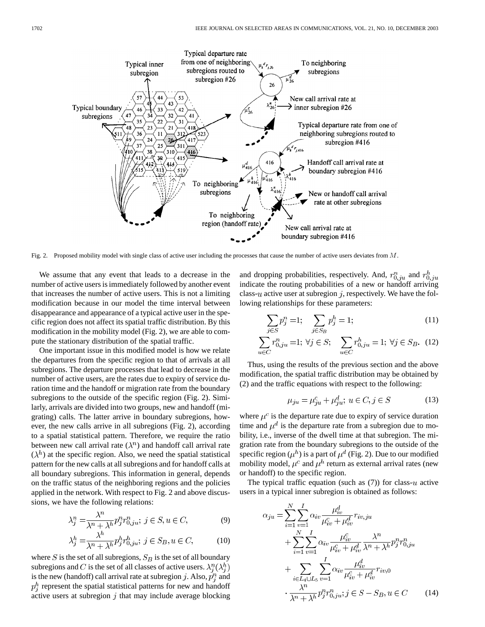

Fig. 2. Proposed mobility model with single class of active user including the processes that cause the number of active users deviates from  $M$ .

We assume that any event that leads to a decrease in the number of active users is immediately followed by another event that increases the number of active users. This is not a limiting modification because in our model the time interval between disappearance and appearance of a typical active user in the specific region does not affect its spatial traffic distribution. By this modification in the mobility model (Fig. 2), we are able to compute the stationary distribution of the spatial traffic.

One important issue in this modified model is how we relate the departures from the specific region to that of arrivals at all subregions. The departure processes that lead to decrease in the number of active users, are the rates due to expiry of service duration time and the handoff or migration rate from the boundary subregions to the outside of the specific region (Fig. 2). Similarly, arrivals are divided into two groups, new and handoff (migrating) calls. The latter arrive in boundary subregions, however, the new calls arrive in all subregions (Fig. 2), according to a spatial statistical pattern. Therefore, we require the ratio between new call arrival rate  $(\lambda^n)$  and handoff call arrival rate  $(\lambda^h)$  at the specific region. Also, we need the spatial statistical pattern for the new calls at all subregions and for handoff calls at all boundary subregions. This information in general, depends on the traffic status of the neighboring regions and the policies applied in the network. With respect to Fig. 2 and above discussions, we have the following relations:

$$
\lambda_j^n = \frac{\lambda^n}{\lambda^n + \lambda^h} p_j^n r_{0,ju}^n; \ j \in S, u \in C,\tag{9}
$$

$$
\lambda_j^h = \frac{\lambda^h}{\lambda^n + \lambda^h} p_j^h r_{0,ju}^h; \ j \in S_B, u \in C,\tag{10}
$$

where S is the set of all subregions,  $S_B$  is the set of all boundary subregions and C is the set of all classes of active users.  $\lambda_i^n(\lambda_i^h)$ is the new (handoff) call arrival rate at subregion j. Also,  $p_i^n$  and  $p_i^h$  represent the spatial statistical patterns for new and handoff active users at subregion  $j$  that may include average blocking and dropping probabilities, respectively. And,  $r_{0,iu}^n$  and  $r_{0,iu}^h$ indicate the routing probabilities of a new or handoff arriving class- $u$  active user at subregion  $j$ , respectively. We have the following relationships for these parameters:

$$
\sum_{j \in S} p_j^n = 1; \quad \sum_{j \in S_B} p_j^h = 1; \tag{11}
$$

$$
\sum_{u \in C} r_{0,ju}^n = 1; \ \forall j \in S; \quad \sum_{u \in C} r_{0,ju}^h = 1; \ \forall j \in S_B. \tag{12}
$$

Thus, using the results of the previous section and the above modification, the spatial traffic distribution may be obtained by (2) and the traffic equations with respect to the following:

$$
\mu_{ju} = \mu_{ju}^c + \mu_{ju}^d; \ u \in C, j \in S \tag{13}
$$

where  $\mu^c$  is the departure rate due to expiry of service duration time and  $\mu^d$  is the departure rate from a subregion due to mobility, i.e., inverse of the dwell time at that subregion. The migration rate from the boundary subregions to the outside of the specific region ( $\mu^h$ ) is a part of  $\mu^d$  (Fig. 2). Due to our modified mobility model,  $\mu^c$  and  $\mu^h$  return as external arrival rates (new or handoff) to the specific region.

The typical traffic equation (such as  $(7)$ ) for class- $u$  active users in a typical inner subregion is obtained as follows:

$$
\alpha_{ju} = \sum_{i=1}^{N} \sum_{v=1}^{I} \alpha_{iv} \frac{\mu_{iv}^{d}}{\mu_{iv}^{c} + \mu_{iv}^{d}} r_{iv, ju} + \sum_{i=1}^{N} \sum_{v=1}^{I} \alpha_{iv} \frac{\mu_{iv}^{c}}{\mu_{iv}^{c} + \mu_{iv}^{d}} \frac{\lambda^{n}}{\lambda^{n} + \lambda^{h}} p_{j}^{n} r_{0, ju}^{n} + \sum_{i \in L_{4} \cup L_{5}} \sum_{v=1}^{I} \alpha_{iv} \frac{\mu_{iv}^{d}}{\mu_{iv}^{c} + \mu_{iv}^{d}} r_{iv, 0} + \frac{\lambda^{n}}{\lambda^{n} + \lambda^{h}} p_{j}^{n} r_{0, ju}^{n}; j \in S - S_{B}, u \in C \qquad (14)
$$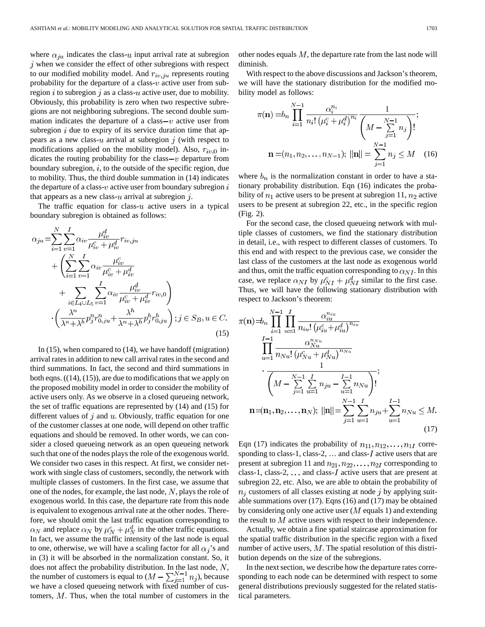where  $\alpha_{ju}$  indicates the class-*u* input arrival rate at subregion  $j$  when we consider the effect of other subregions with respect to our modified mobility model. And  $r_{iv,ju}$  represents routing probability for the departure of a class- $v$  active user from subregion i to subregion j as a class- $u$  active user, due to mobility. Obviously, this probability is zero when two respective subregions are not neighboring subregions. The second double summation indicates the departure of a class  $-v$  active user from subregion  $i$  due to expiry of its service duration time that appears as a new class- $u$  arrival at subregion  $j$  (with respect to modifications applied on the mobility model). Also,  $r_{iv,0}$  indicates the routing probability for the class  $-v$  departure from boundary subregion,  $i$ , to the outside of the specific region, due to mobility. Thus, the third double summation in (14) indicates the departure of a class- $v$  active user from boundary subregion  $i$ that appears as a new class- $u$  arrival at subregion  $j$ .

The traffic equation for class- $u$  active users in a typical boundary subregion is obtained as follows:

$$
\alpha_{ju} = \sum_{i=1}^{N} \sum_{v=1}^{I} \alpha_{iv} \frac{\mu_{iv}^{d}}{\mu_{iv}^{c} + \mu_{iv}^{d}} r_{iv, ju} + \left( \sum_{i=1}^{N} \sum_{v=1}^{I} \alpha_{iv} \frac{\mu_{iv}^{c}}{\mu_{iv}^{c} + \mu_{iv}^{d}} + \sum_{i \in L_{4} \cup L_{5}} \sum_{v=1}^{I} \alpha_{iv} \frac{\mu_{iv}^{d}}{\mu_{iv}^{c} + \mu_{iv}^{d}} r_{iv, 0} \right) + \left( \frac{\lambda^{n}}{\lambda^{n} + \lambda^{h}} p_{j}^{n} r_{0, ju}^{n} + \frac{\lambda^{h}}{\lambda^{n} + \lambda^{h}} p_{j}^{h} r_{0, ju}^{h} \right); j \in S_{B}, u \in C.
$$
\n(15)

In (15), when compared to (14), we have handoff (migration) arrival rates in addition to new call arrival rates in the second and third summations. In fact, the second and third summations in both eqns. ((14), (15)), are due to modifications that we apply on the proposed mobility model in order to consider the mobility of active users only. As we observe in a closed queueing network, the set of traffic equations are represented by (14) and (15) for different values of  $\dot{\jmath}$  and  $u$ . Obviously, traffic equation for one of the customer classes at one node, will depend on other traffic equations and should be removed. In other words, we can consider a closed queueing network as an open queueing network such that one of the nodes plays the role of the exogenous world. We consider two cases in this respect. At first, we consider network with single class of customers, secondly, the network with multiple classes of customers. In the first case, we assume that one of the nodes, for example, the last node,  $N$ , plays the role of exogenous world. In this case, the departure rate from this node is equivalent to exogenous arrival rate at the other nodes. Therefore, we should omit the last traffic equation corresponding to  $\alpha_N$  and replace  $\alpha_N$  by  $\mu_N^c + \mu_N^d$  in the other traffic equations. In fact, we assume the traffic intensity of the last node is equal to one, otherwise, we will have a scaling factor for all  $\alpha_i$ 's and in (3) it will be absorbed in the normalization constant. So, it does not affect the probability distribution. In the last node,  $N$ , the number of customers is equal to  $(M - \sum_{i=1}^{N-1} n_i)$ , because we have a closed queueing network with fixed number of customers,  $M$ . Thus, when the total number of customers in the other nodes equals  $M$ , the departure rate from the last node will diminish.

With respect to the above discussions and Jackson's theorem, we will have the stationary distribution for the modified mobility model as follows:

$$
\pi(\mathbf{n}) = b_n \prod_{i=1}^{N-1} \frac{\alpha_i^{n_i}}{n_i! \left(\mu_i^c + \mu_i^d\right)^{n_i}} \frac{1}{\left(M - \sum_{j=1}^{N-1} n_j\right)!};
$$

$$
\mathbf{n} = (n_1, n_2, \dots, n_{N-1}); \ ||\mathbf{n}|| = \sum_{j=1}^{N-1} n_j \le M \quad (16)
$$

where  $b_n$  is the normalization constant in order to have a stationary probability distribution. Eqn (16) indicates the probability of  $n_1$  active users to be present at subregion 11,  $n_2$  active users to be present at subregion 22, etc., in the specific region (Fig. 2).

For the second case, the closed queueing network with multiple classes of customers, we find the stationary distribution in detail, i.e., with respect to different classes of customers. To this end and with respect to the previous case, we consider the last class of the customers at the last node as exogenous world and thus, omit the traffic equation corresponding to  $\alpha_{NI}$ . In this case, we replace  $\alpha_{NI}$  by  $\mu_{NI}^c + \mu_{NI}^d$  similar to the first case. Thus, we will have the following stationary distribution with respect to Jackson's theorem:

$$
\pi(\mathbf{n}) = b_n \prod_{i=1}^{N-1} \prod_{u=1}^{I} \frac{\alpha_{iu}^{n_{iu}}}{n_{iu}! (\mu_{iu}^c + \mu_{iu}^d)^{n_{iu}}}
$$
  
\n
$$
\prod_{u=1}^{I-1} \frac{\alpha_{Nu}^{n_{Nu}}}{n_{Nu}! (\mu_{Nu}^c + \mu_{Nu}^d)^{n_{Nu}}}
$$
  
\n
$$
\cdot \frac{1}{\left(M - \sum_{j=1}^{N-1} \sum_{u=1}^{I} n_{ju} - \sum_{u=1}^{I-1} n_{Nu}\right)!};
$$
  
\n
$$
\mathbf{n} = (\mathbf{n}_1, \mathbf{n}_2, \dots, \mathbf{n}_N); ||\mathbf{n}|| = \sum_{j=1}^{N-1} \sum_{u=1}^{I} n_{ju} + \sum_{u=1}^{I-1} n_{Nu} \le M.
$$
  
\n(17)

Eqn (17) indicates the probability of  $n_{11}, n_{12}, \ldots, n_{1I}$  corresponding to class-1, class-2,  $\dots$  and class- $I$  active users that are present at subregion 11 and  $n_{21}, n_{22}, \ldots, n_{2I}$  corresponding to class-1, class-2,  $\dots$  and class-*I* active users that are present at subregion 22, etc. Also, we are able to obtain the probability of  $n_i$  customers of all classes existing at node j by applying suitable summations over (17). Eqns (16) and (17) may be obtained by considering only one active user  $(M$  equals 1) and extending the result to  $M$  active users with respect to their independence.

Actually, we obtain a fine spatial staircase approximation for the spatial traffic distribution in the specific region with a fixed number of active users,  $M$ . The spatial resolution of this distribution depends on the size of the subregions.

In the next section, we describe how the departure rates corresponding to each node can be determined with respect to some general distributions previously suggested for the related statistical parameters.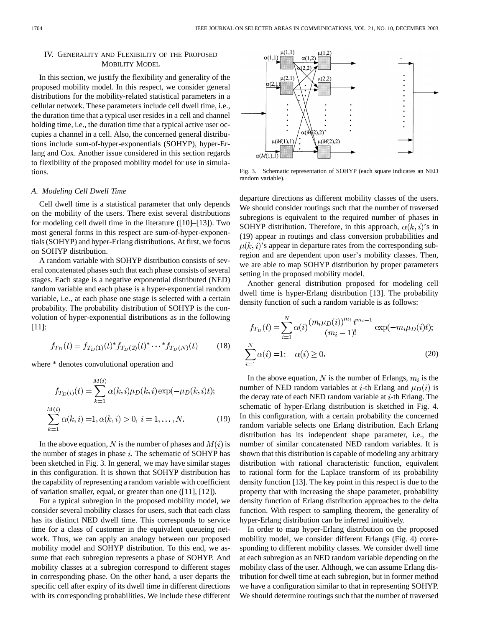# IV. GENERALITY AND FLEXIBILITY OF THE PROPOSED MOBILITY MODEL

In this section, we justify the flexibility and generality of the proposed mobility model. In this respect, we consider general distributions for the mobility-related statistical parameters in a cellular network. These parameters include cell dwell time, i.e., the duration time that a typical user resides in a cell and channel holding time, i.e., the duration time that a typical active user occupies a channel in a cell. Also, the concerned general distributions include sum-of-hyper-exponentials (SOHYP), hyper-Erlang and Cox. Another issue considered in this section regards to flexibility of the proposed mobility model for use in simulations.

## *A. Modeling Cell Dwell Time*

Cell dwell time is a statistical parameter that only depends on the mobility of the users. There exist several distributions for modeling cell dwell time in the literature ([10]–[13]). Two most general forms in this respect are sum-of-hyper-exponentials (SOHYP) and hyper-Erlang distributions. At first, we focus on SOHYP distribution.

A random variable with SOHYP distribution consists of several concatenated phases such that each phase consists of several stages. Each stage is a negative exponential distributed (NED) random variable and each phase is a hyper-exponential random variable, i.e., at each phase one stage is selected with a certain probability. The probability distribution of SOHYP is the convolution of hyper-exponential distributions as in the following [11]:

$$
f_{T_D}(t) = f_{T_D(1)}(t)^* f_{T_D(2)}(t)^* \cdots f_{T_D(N)}(t) \tag{18}
$$

where  $*$  denotes convolutional operation and

$$
f_{T_D(i)}(t) = \sum_{k=1}^{M(i)} \alpha(k, i)\mu_D(k, i) \exp(-\mu_D(k, i)t);
$$
  

$$
\sum_{k=1}^{M(i)} \alpha(k, i) = 1, \alpha(k, i) > 0, i = 1, ..., N.
$$
 (19)

In the above equation, N is the number of phases and  $M(i)$  is the number of stages in phase  $i$ . The schematic of SOHYP has been sketched in Fig. 3. In general, we may have similar stages in this configuration. It is shown that SOHYP distribution has the capability of representing a random variable with coefficient of variation smaller, equal, or greater than one ([11], [12]).

For a typical subregion in the proposed mobility model, we consider several mobility classes for users, such that each class has its distinct NED dwell time. This corresponds to service time for a class of customer in the equivalent queueing network. Thus, we can apply an analogy between our proposed mobility model and SOHYP distribution. To this end, we assume that each subregion represents a phase of SOHYP. And mobility classes at a subregion correspond to different stages in corresponding phase. On the other hand, a user departs the specific cell after expiry of its dwell time in different directions with its corresponding probabilities. We include these different



Fig. 3. Schematic representation of SOHYP (each square indicates an NED random variable).

departure directions as different mobility classes of the users. We should consider routings such that the number of traversed subregions is equivalent to the required number of phases in SOHYP distribution. Therefore, in this approach,  $\alpha(k, i)$ 's in (19) appear in routings and class conversion probabilities and  $\mu(k, i)$ 's appear in departure rates from the corresponding subregion and are dependent upon user's mobility classes. Then, we are able to map SOHYP distribution by proper parameters setting in the proposed mobility model.

Another general distribution proposed for modeling cell dwell time is hyper-Erlang distribution [13]. The probability density function of such a random variable is as follows:

$$
f_{T_D}(t) = \sum_{i=1}^{N} \alpha(i) \frac{(m_i \mu_D(i))^{m_i} t^{m_i - 1}}{(m_i - 1)!} \exp(-m_i \mu_D(i)t);
$$
  

$$
\sum_{i=1}^{N} \alpha(i) = 1; \quad \alpha(i) \ge 0.
$$
 (20)

In the above equation, N is the number of Erlangs,  $m_i$  is the number of NED random variables at *i*-th Erlang and  $\mu_D(i)$  is the decay rate of each NED random variable at  $i$ -th Erlang. The schematic of hyper-Erlang distribution is sketched in Fig. 4. In this configuration, with a certain probability the concerned random variable selects one Erlang distribution. Each Erlang distribution has its independent shape parameter, i.e., the number of similar concatenated NED random variables. It is shown that this distribution is capable of modeling any arbitrary distribution with rational characteristic function, equivalent to rational form for the Laplace transform of its probability density function [13]. The key point in this respect is due to the property that with increasing the shape parameter, probability density function of Erlang distribution approaches to the delta function. With respect to sampling theorem, the generality of hyper-Erlang distribution can be inferred intuitively.

In order to map hyper-Erlang distribution on the proposed mobility model, we consider different Erlangs (Fig. 4) corresponding to different mobility classes. We consider dwell time at each subregion as an NED random variable depending on the mobility class of the user. Although, we can assume Erlang distribution for dwell time at each subregion, but in former method we have a configuration similar to that in representing SOHYP. We should determine routings such that the number of traversed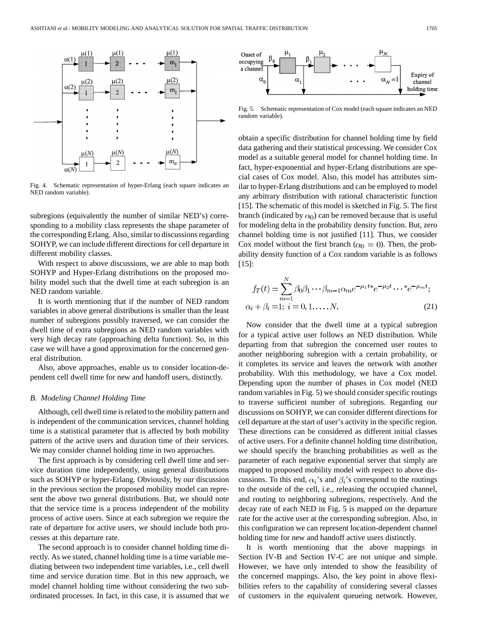

Fig. 4. Schematic representation of hyper-Erlang (each square indicates an NED random variable).

subregions (equivalently the number of similar NED's) corresponding to a mobility class represents the shape parameter of the corresponding Erlang. Also, similar to discussions regarding SOHYP, we can include different directions for cell departure in different mobility classes.

With respect to above discussions, we are able to map both SOHYP and Hyper-Erlang distributions on the proposed mobility model such that the dwell time at each subregion is an NED random variable.

It is worth mentioning that if the number of NED random variables in above general distributions is smaller than the least number of subregions possibly traversed, we can consider the dwell time of extra subregions as NED random variables with very high decay rate (approaching delta function). So, in this case we will have a good approximation for the concerned general distribution.

Also, above approaches, enable us to consider location-dependent cell dwell time for new and handoff users, distinctly.

### *B. Modeling Channel Holding Time*

Although, cell dwell time is related to the mobility pattern and is independent of the communication services, channel holding time is a statistical parameter that is affected by both mobility pattern of the active users and duration time of their services. We may consider channel holding time in two approaches.

The first approach is by considering cell dwell time and service duration time independently, using general distributions such as SOHYP or hyper-Erlang. Obviously, by our discussion in the previous section the proposed mobility model can represent the above two general distributions. But, we should note that the service time is a process independent of the mobility process of active users. Since at each subregion we require the rate of departure for active users, we should include both processes at this departure rate.

The second approach is to consider channel holding time directly. As we stated, channel holding time is a time variable mediating between two independent time variables, i.e., cell dwell time and service duration time. But in this new approach, we model channel holding time without considering the two subordinated processes. In fact, in this case, it is assumed that we



Fig. 5. Schematic representation of Cox model (each square indicates an NED random variable).

obtain a specific distribution for channel holding time by field data gathering and their statistical processing. We consider Cox model as a suitable general model for channel holding time. In fact, hyper-exponential and hyper-Erlang distributions are special cases of Cox model. Also, this model has attributes similar to hyper-Erlang distributions and can be employed to model any arbitrary distribution with rational characteristic function [15]. The schematic of this model is sketched in Fig. 5. The first branch (indicated by  $\alpha_0$ ) can be removed because that is useful for modeling delta in the probability density function. But, zero channel holding time is not justified [11]. Thus, we consider Cox model without the first branch ( $\alpha_0 = 0$ ). Then, the probability density function of a Cox random variable is as follows [15]:

$$
f_T(t) = \sum_{m=1}^{N} \beta_0 \beta_1 \cdots \beta_{m-1} \alpha_m e^{-\mu_1 t *} e^{-\mu_2 t} \cdots {^*} e^{-\mu_m t};
$$
  

$$
\alpha_i + \beta_i = 1; \ i = 0, 1, ..., N.
$$
 (21)

Now consider that the dwell time at a typical subregion for a typical active user follows an NED distribution. While departing from that subregion the concerned user routes to another neighboring subregion with a certain probability, or it completes its service and leaves the network with another probability. With this methodology, we have a Cox model. Depending upon the number of phases in Cox model (NED random variables in Fig. 5) we should consider specific routings to traverse sufficient number of subregions. Regarding our discussions on SOHYP, we can consider different directions for cell departure at the start of user's activity in the specific region. These directions can be considered as different initial classes of active users. For a definite channel holding time distribution, we should specify the branching probabilities as well as the parameter of each negative exponential server that simply are mapped to proposed mobility model with respect to above discussions. To this end,  $\alpha_i$ 's and  $\beta_i$ 's correspond to the routings to the outside of the cell, i.e., releasing the occupied channel, and routing to neighboring subregions, respectively. And the decay rate of each NED in Fig. 5 is mapped on the departure rate for the active user at the corresponding subregion. Also, in this configuration we can represent location-dependent channel holding time for new and handoff active users distinctly.

It is worth mentioning that the above mappings in Section IV-B and Section IV-C are not unique and simple. However, we have only intended to show the feasibility of the concerned mappings. Also, the key point in above flexibilities refers to the capability of considering several classes of customers in the equivalent queueing network. However,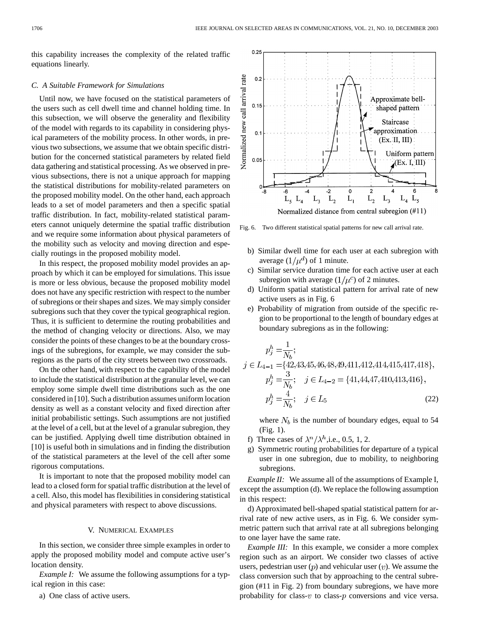this capability increases the complexity of the related traffic equations linearly.

### *C. A Suitable Framework for Simulations*

Until now, we have focused on the statistical parameters of the users such as cell dwell time and channel holding time. In this subsection, we will observe the generality and flexibility of the model with regards to its capability in considering physical parameters of the mobility process. In other words, in previous two subsections, we assume that we obtain specific distribution for the concerned statistical parameters by related field data gathering and statistical processing. As we observed in previous subsections, there is not a unique approach for mapping the statistical distributions for mobility-related parameters on the proposed mobility model. On the other hand, each approach leads to a set of model parameters and then a specific spatial traffic distribution. In fact, mobility-related statistical parameters cannot uniquely determine the spatial traffic distribution and we require some information about physical parameters of the mobility such as velocity and moving direction and especially routings in the proposed mobility model.

In this respect, the proposed mobility model provides an approach by which it can be employed for simulations. This issue is more or less obvious, because the proposed mobility model does not have any specific restriction with respect to the number of subregions or their shapes and sizes. We may simply consider subregions such that they cover the typical geographical region. Thus, it is sufficient to determine the routing probabilities and the method of changing velocity or directions. Also, we may consider the points of these changes to be at the boundary crossings of the subregions, for example, we may consider the subregions as the parts of the city streets between two crossroads.

On the other hand, with respect to the capability of the model to include the statistical distribution at the granular level, we can employ some simple dwell time distributions such as the one considered in [10]. Such a distribution assumes uniform location density as well as a constant velocity and fixed direction after initial probabilistic settings. Such assumptions are not justified at the level of a cell, but at the level of a granular subregion, they can be justified. Applying dwell time distribution obtained in [10] is useful both in simulations and in finding the distribution of the statistical parameters at the level of the cell after some rigorous computations.

It is important to note that the proposed mobility model can lead to a closed form for spatial traffic distribution at the level of a cell. Also, this model has flexibilities in considering statistical and physical parameters with respect to above discussions.

## V. NUMERICAL EXAMPLES

In this section, we consider three simple examples in order to apply the proposed mobility model and compute active user's location density.

*Example I:* We assume the following assumptions for a typical region in this case:

a) One class of active users.



Fig. 6. Two different statistical spatial patterns for new call arrival rate.

- b) Similar dwell time for each user at each subregion with average  $(1/\mu^d)$  of 1 minute.
- c) Similar service duration time for each active user at each subregion with average  $(1/\mu^c)$  of 2 minutes.
- d) Uniform spatial statistical pattern for arrival rate of new active users as in Fig. 6
- e) Probability of migration from outside of the specific region to be proportional to the length of boundary edges at boundary subregions as in the following:

$$
p_j^h = \frac{1}{N_b};
$$
  
\n
$$
j \in L_{4-1} = \{42,43,45,46,48,49,411,412,414,415,417,418\},
$$
  
\n
$$
p_j^h = \frac{3}{N_b}; \quad j \in L_{4-2} = \{41,44,47,410,413,416\},
$$
  
\n
$$
p_j^h = \frac{4}{N_b}; \quad j \in L_5
$$
 (22)

where  $N_b$  is the number of boundary edges, equal to 54 (Fig. 1).

- f) Three cases of  $\lambda^n/\lambda^h$ , i.e., 0.5, 1, 2.
- g) Symmetric routing probabilities for departure of a typical user in one subregion, due to mobility, to neighboring subregions.

*Example II:* We assume all of the assumptions of Example I, except the assumption (d). We replace the following assumption in this respect:

d) Approximated bell-shaped spatial statistical pattern for arrival rate of new active users, as in Fig. 6. We consider symmetric pattern such that arrival rate at all subregions belonging to one layer have the same rate.

*Example III:* In this example, we consider a more complex region such as an airport. We consider two classes of active users, pedestrian user  $(p)$  and vehicular user  $(v)$ . We assume the class conversion such that by approaching to the central subregion (#11 in Fig. 2) from boundary subregions, we have more probability for class- $v$  to class- $p$  conversions and vice versa.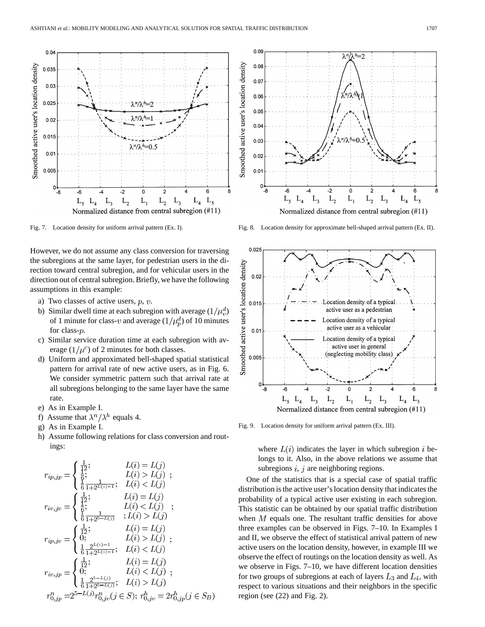

Fig. 7. Location density for uniform arrival pattern (Ex. I).

However, we do not assume any class conversion for traversing the subregions at the same layer, for pedestrian users in the direction toward central subregion, and for vehicular users in the direction out of central subregion. Briefly, we have the following assumptions in this example:

- a) Two classes of active users,  $p, v$ .
- b) Similar dwell time at each subregion with average  $(1/\mu_v^d)$ of 1 minute for class-v and average  $(1/\mu_p^d)$  of 10 minutes for class- $p$ .
- c) Similar service duration time at each subregion with average  $(1/\mu^c)$  of 2 minutes for both classes.
- d) Uniform and approximated bell-shaped spatial statistical pattern for arrival rate of new active users, as in Fig. 6. We consider symmetric pattern such that arrival rate at all subregions belonging to the same layer have the same rate.
- e) As in Example I.

 $0.04$ 

0.035

 $0.03$ 

- f) Assume that  $\lambda^n/\lambda^h$  equals 4.
- g) As in Example I.
- h) Assume following relations for class conversion and routings:

$$
r_{ip,jp} = \begin{cases} \frac{1}{12}; & L(i) = L(j) \\ \frac{1}{6}; & L(i) > L(j) \\ \frac{1}{6} \frac{1}{1+2^{L(i)-1}}; & L(i) < L(j) \\ \frac{1}{6}; & L(i) < L(j) \\ \frac{1}{6}; & L(i) < L(j) \\ \frac{1}{6} \frac{1}{1+2^{5-L(j)}} & ; L(i) > L(j) \\ \end{cases};
$$

$$
r_{ip,jv} = \begin{cases} \frac{1}{12}; & L(i) = L(j) \\ 0; & L(i) > L(j) \\ \frac{1}{6} \frac{2^{L(i)-1}}{1+2^{L(i)-1}}; & L(i) < L(j) \\ \frac{1}{6} \frac{1}{1+2^{L(i)-1}}; & L(i) < L(j) \\ \frac{1}{6} \frac{2^{5-L(j)}}{1+2^{5-L(j)}}; & L(i) < L(j) \\ \frac{1}{6} \frac{2^{5-L(j)}}{1+2^{5-L(j)}}; & L(i) > L(j) \\ \frac{1}{6} \frac{2^{5-L(j)}}{1+2^{5-L(j)}}; & L(i) > L(j) \\ r_{0,jp}^n = 2^{5-L(j)} r_{0,jv}^n (j \in S); \ r_{0,jv}^h = 2r_{0,jp}^h (j \in S_B) \end{cases}
$$



Fig. 8. Location density for approximate bell-shaped arrival pattern (Ex. II).



Fig. 9. Location density for uniform arrival pattern (Ex. III).

where  $L(i)$  indicates the layer in which subregion i belongs to it. Also, in the above relations we assume that subregions  $i, j$  are neighboring regions.

One of the statistics that is a special case of spatial traffic distribution is the active user's location density that indicates the probability of a typical active user existing in each subregion. This statistic can be obtained by our spatial traffic distribution when  $M$  equals one. The resultant traffic densities for above three examples can be observed in Figs. 7–10. In Examples I and II, we observe the effect of statistical arrival pattern of new active users on the location density, however, in example III we observe the effect of routings on the location density as well. As we observe in Figs. 7–10, we have different location densities for two groups of subregions at each of layers  $L_3$  and  $L_4$ , with respect to various situations and their neighbors in the specific region (see (22) and Fig. 2).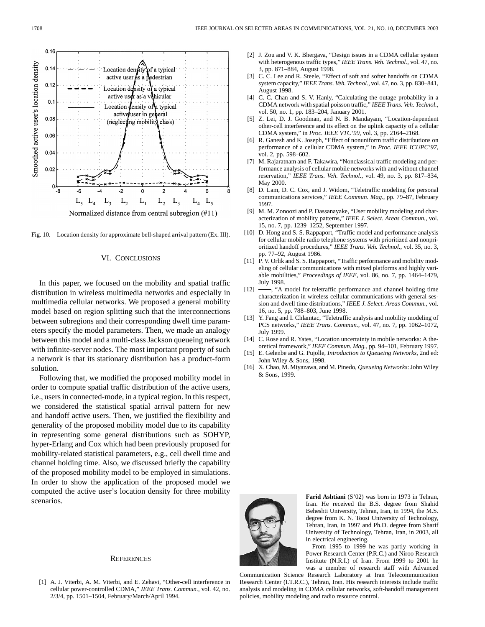

Fig. 10. Location density for approximate bell-shaped arrival pattern (Ex. III).

#### VI. CONCLUSIONS

In this paper, we focused on the mobility and spatial traffic distribution in wireless multimedia networks and especially in multimedia cellular networks. We proposed a general mobility model based on region splitting such that the interconnections between subregions and their corresponding dwell time parameters specify the model parameters. Then, we made an analogy between this model and a multi-class Jackson queueing network with infinite-server nodes. The most important property of such a network is that its stationary distribution has a product-form solution.

Following that, we modified the proposed mobility model in order to compute spatial traffic distribution of the active users, i.e., users in connected-mode, in a typical region. In this respect, we considered the statistical spatial arrival pattern for new and handoff active users. Then, we justified the flexibility and generality of the proposed mobility model due to its capability in representing some general distributions such as SOHYP, hyper-Erlang and Cox which had been previously proposed for mobility-related statistical parameters, e.g., cell dwell time and channel holding time. Also, we discussed briefly the capability of the proposed mobility model to be employed in simulations. In order to show the application of the proposed model we computed the active user's location density for three mobility scenarios.

#### **REFERENCES**

[1] A. J. Viterbi, A. M. Viterbi, and E. Zehavi, "Other-cell interference in cellular power-controlled CDMA," *IEEE Trans. Commun.*, vol. 42, no. 2/3/4, pp. 1501–1504, February/March/April 1994.

- [2] J. Zou and V. K. Bhergava, "Design issues in a CDMA cellular system with heterogenous traffic types," *IEEE Trans. Veh. Technol.*, vol. 47, no. 3, pp. 871–884, August 1998.
- [3] C. C. Lee and R. Steele, "Effect of soft and softer handoffs on CDMA system capacity," *IEEE Trans. Veh. Technol.*, vol. 47, no. 3, pp. 830–841, August 1998.
- [4] C. C. Chan and S. V. Hanly, "Calculating the outage probability in a CDMA network with spatial poisson traffic," *IEEE Trans. Veh. Technol.*, vol. 50, no. 1, pp. 183–204, January 2001.
- [5] Z. Lei, D. J. Goodman, and N. B. Mandayam, "Location-dependent other-cell interference and its effect on the uplink capacity of a cellular CDMA system," in *Proc. IEEE VTC'99*, vol. 3, pp. 2164–2168.
- [6] R. Ganesh and K. Joseph, "Effect of nonuniform traffic distributions on performance of a cellular CDMA system," in *Proc. IEEE ICUPC'97*, vol. 2, pp. 598–602.
- [7] M. Rajaratnam and F. Takawira, "Nonclassical traffic modeling and performance analysis of cellular mobile networks with and without channel reservation," *IEEE Trans. Veh. Technol.*, vol. 49, no. 3, pp. 817–834, May 2000.
- [8] D. Lam, D. C. Cox, and J. Widom, "Teletraffic modeling for personal communications services," *IEEE Commun. Mag.*, pp. 79–87, February 1997.
- [9] M. M. Zonoozi and P. Dassanayake, "User mobility modeling and characterization of mobility patterns," *IEEE J. Select. Areas Commun.*, vol. 15, no. 7, pp. 1239–1252, September 1997.
- [10] D. Hong and S. S. Rappaport, "Traffic model and performance analysis for cellular mobile radio telephone systems with prioritized and nonprioritized handoff procedures," *IEEE Trans. Veh. Technol.*, vol. 35, no. 3, pp. 77–92, August 1986.
- [11] P. V. Orlik and S. S. Rappaport, "Traffic performance and mobility modeling of cellular communications with mixed platforms and highly variable mobilities," *Proceedings of IEEE*, vol. 86, no. 7, pp. 1464–1479, July 1998.
- [12]  $\rightarrow$ , "A model for teletraffic performance and channel holding time characterization in wireless cellular communications with general session and dwell time distributions," *IEEE J. Select. Areas Commun.*, vol. 16, no. 5, pp. 788–803, June 1998.
- [13] Y. Fang and I. Chlamtac, "Teletraffic analysis and mobility modeling of PCS networks," *IEEE Trans. Commun.*, vol. 47, no. 7, pp. 1062–1072, July 1999.
- [14] C. Rose and R. Yates, "Location uncertainty in mobile networks: A theoretical framework," *IEEE Commun. Mag.*, pp. 94–101, February 1997.
- [15] E. Gelenbe and G. Pujolle, *Introduction to Queueing Networks*, 2nd ed: John Wiley & Sons, 1998.
- [16] X. Chao, M. Miyazawa, and M. Pinedo, *Queueing Networks*: John Wiley & Sons, 1999.



**Farid Ashtiani** (S'02) was born in 1973 in Tehran, Iran. He received the B.S. degree from Shahid Beheshti University, Tehran, Iran, in 1994, the M.S. degree from K. N. Toosi University of Technology, Tehran, Iran, in 1997 and Ph.D. degree from Sharif University of Technology, Tehran, Iran, in 2003, all in electrical engineering.

From 1995 to 1999 he was partly working in Power Research Center (P.R.C.) and Niroo Research Institute (N.R.I.) of Iran. From 1999 to 2001 he was a member of research staff with Advanced

Communication Science Research Laboratory at Iran Telecommunication Research Center (I.T.R.C.), Tehran, Iran. His research interests include traffic analysis and modeling in CDMA cellular networks, soft-handoff management policies, mobility modeling and radio resource control.